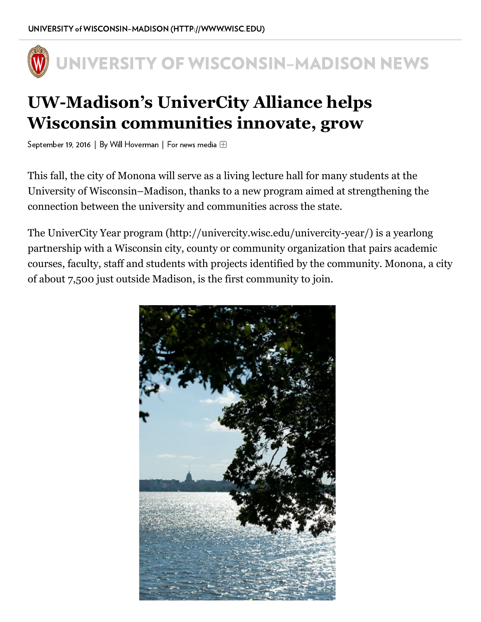

## UW-Madison's UniverCity Alliance helps Wisconsin communities innovate, grow

September 19, 2016 | By Will Hoverman | For news media

This fall, the city of Monona will serve as a living lecture hall for many students at the University of Wisconsin–Madison, thanks to a new program aimed at strengthening the connection between the university and communities across the state.

The UniverCity Year program (http://univercity.wisc.edu/univercity-year/) is a yearlong partnership with a Wisconsin city, county or community organization that pairs academic courses, faculty, staff and students with projects identified by the community. Monona, a city of about 7,500 just outside Madison, is the first community to join.

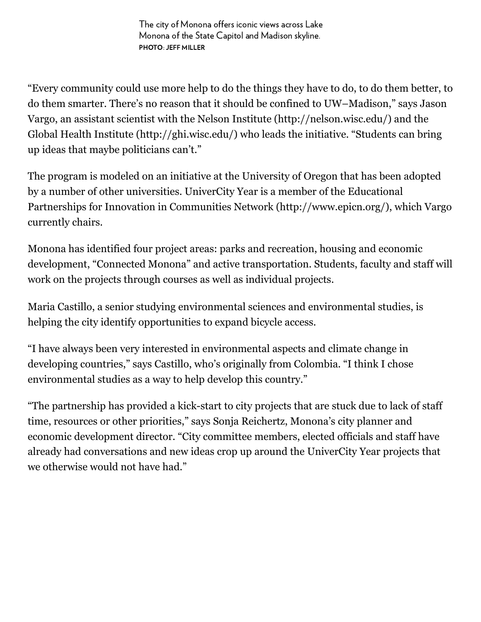The city of Monona offers iconic views across Lake Monona of the State Capitol and Madison skyline. PHOTO: JEFF MILLER

"Every community could use more help to do the things they have to do, to do them better, to do them smarter. There's no reason that it should be confined to UW-Madison," says Jason Vargo, an assistant scientist with the Nelson Institute (http://nelson.wisc.edu/) and the Global Health Institute (http://ghi.wisc.edu/) who leads the initiative. "Students can bring up ideas that maybe politicians can't."

The program is modeled on an initiative at the University of Oregon that has been adopted by a number of other universities. UniverCity Year is a member of the Educational Partnerships for Innovation in Communities Network (http://www.epicn.org/), which Vargo currently chairs.

Monona has identified four project areas: parks and recreation, housing and economic development, "Connected Monona" and active transportation. Students, faculty and staff will work on the projects through courses as well as individual projects.

Maria Castillo, a senior studying environmental sciences and environmental studies, is helping the city identify opportunities to expand bicycle access.

"I have always been very interested in environmental aspects and climate change in developing countries," says Castillo, who's originally from Colombia. "I think I chose environmental studies as a way to help develop this country."

"The partnership has provided a kick-start to city projects that are stuck due to lack of staff time, resources or other priorities," says Sonja Reichertz, Monona's city planner and economic development director. "City committee members, elected officials and staff have already had conversations and new ideas crop up around the UniverCity Year projects that we otherwise would not have had."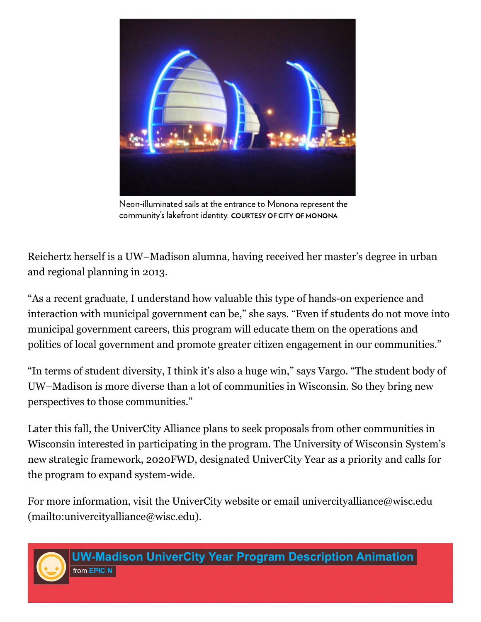

Neon-illuminated sails at the entrance to Monona represent the community's lakefront identity. COURTESY OF CITY OF MONONA

Reichertz herself is a UW–Madison alumna, having received her master's degree in urban and regional planning in 2013.

"As a recent graduate, I understand how valuable this type of hands-on experience and interaction with municipal government can be," she says. "Even if students do not move into municipal government careers, this program will educate them on the operations and politics of local government and promote greater citizen engagement in our communities."

"In terms of student diversity, I think it's also a huge win," says Vargo. "The student body of UW–Madison is more diverse than a lot of communities in Wisconsin. So they bring new perspectives to those communities."

Later this fall, the UniverCity Alliance plans to seek proposals from other communities in Wisconsin interested in participating in the program. The University of Wisconsin System's new strategic framework, 2020FWD, designated UniverCity Year as a priority and calls for the program to expand system-wide.

For more information, visit the UniverCity website or email univercityalliance@wisc.edu [\(mailto:univercityalliance@wisc.edu\).](mailto:univercityalliance@wisc.edu)



UW-Madison UniverCity Year Program Description Animation from **[EPIC](https://vimeo.com/user50719429) N**